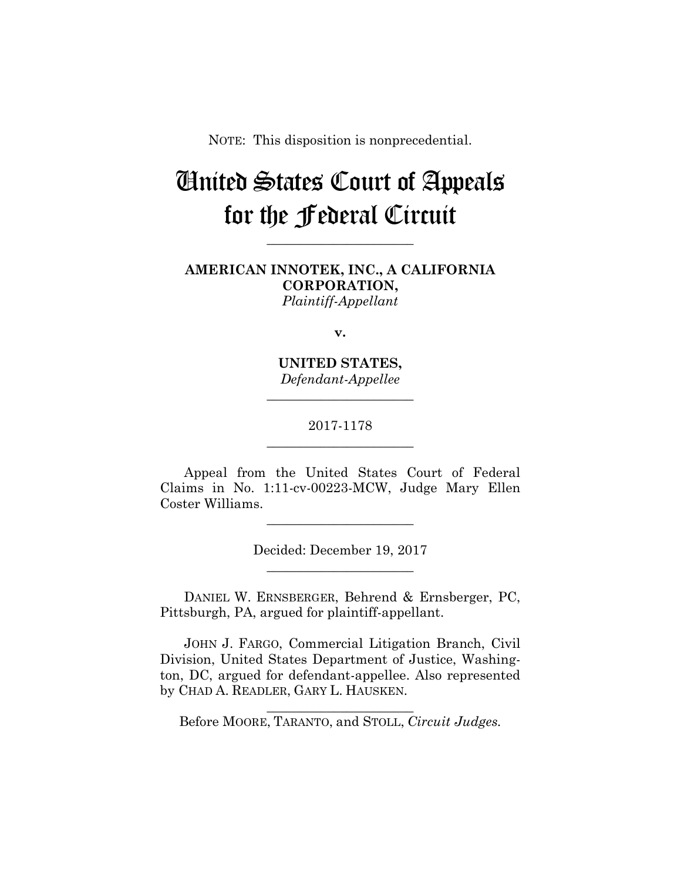NOTE: This disposition is nonprecedential.

## United States Court of Appeals for the Federal Circuit

**AMERICAN INNOTEK, INC., A CALIFORNIA CORPORATION,** *Plaintiff-Appellant*

**\_\_\_\_\_\_\_\_\_\_\_\_\_\_\_\_\_\_\_\_\_\_** 

**v.**

**UNITED STATES,** *Defendant-Appellee*

**\_\_\_\_\_\_\_\_\_\_\_\_\_\_\_\_\_\_\_\_\_\_** 

## 2017-1178 **\_\_\_\_\_\_\_\_\_\_\_\_\_\_\_\_\_\_\_\_\_\_**

Appeal from the United States Court of Federal Claims in No. 1:11-cv-00223-MCW, Judge Mary Ellen Coster Williams.

**\_\_\_\_\_\_\_\_\_\_\_\_\_\_\_\_\_\_\_\_\_\_** 

Decided: December 19, 2017 **\_\_\_\_\_\_\_\_\_\_\_\_\_\_\_\_\_\_\_\_\_\_** 

 DANIEL W. ERNSBERGER, Behrend & Ernsberger, PC, Pittsburgh, PA, argued for plaintiff-appellant.

 JOHN J. FARGO, Commercial Litigation Branch, Civil Division, United States Department of Justice, Washington, DC, argued for defendant-appellee. Also represented by CHAD A. READLER, GARY L. HAUSKEN.

**\_\_\_\_\_\_\_\_\_\_\_\_\_\_\_\_\_\_\_\_\_\_**  Before MOORE, TARANTO, and STOLL, *Circuit Judges.*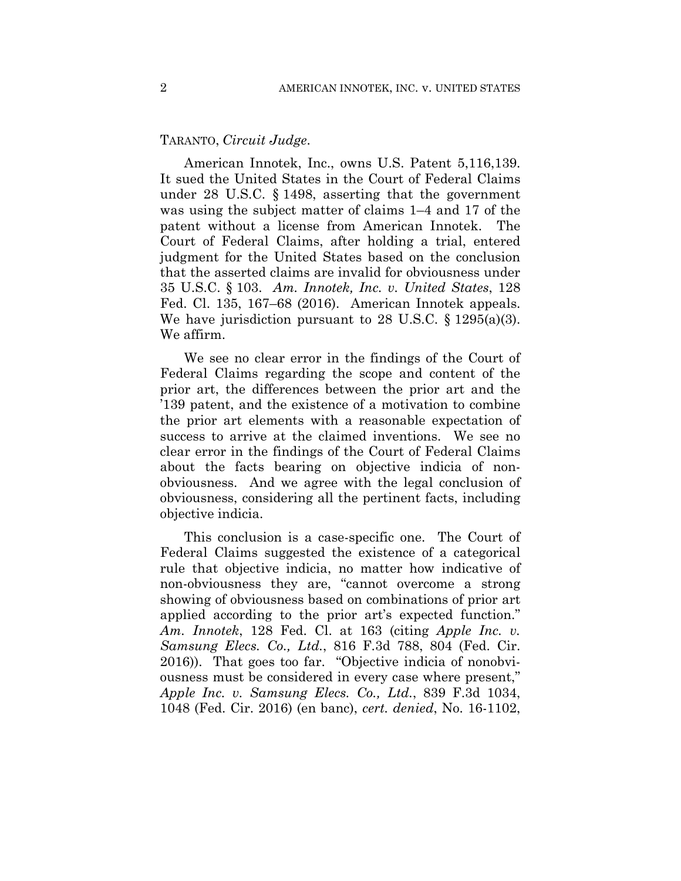## TARANTO, *Circuit Judge*.

American Innotek, Inc., owns U.S. Patent 5,116,139. It sued the United States in the Court of Federal Claims under 28 U.S.C. § 1498, asserting that the government was using the subject matter of claims 1–4 and 17 of the patent without a license from American Innotek. The Court of Federal Claims, after holding a trial, entered judgment for the United States based on the conclusion that the asserted claims are invalid for obviousness under 35 U.S.C. § 103. *Am. Innotek, Inc. v. United States*, 128 Fed. Cl. 135, 167–68 (2016). American Innotek appeals. We have jurisdiction pursuant to 28 U.S.C.  $\S$  1295(a)(3). We affirm.

We see no clear error in the findings of the Court of Federal Claims regarding the scope and content of the prior art, the differences between the prior art and the '139 patent, and the existence of a motivation to combine the prior art elements with a reasonable expectation of success to arrive at the claimed inventions. We see no clear error in the findings of the Court of Federal Claims about the facts bearing on objective indicia of nonobviousness. And we agree with the legal conclusion of obviousness, considering all the pertinent facts, including objective indicia.

This conclusion is a case-specific one. The Court of Federal Claims suggested the existence of a categorical rule that objective indicia, no matter how indicative of non-obviousness they are, "cannot overcome a strong showing of obviousness based on combinations of prior art applied according to the prior art's expected function." *Am. Innotek*, 128 Fed. Cl. at 163 (citing *Apple Inc. v. Samsung Elecs. Co., Ltd.*, 816 F.3d 788, 804 (Fed. Cir. 2016)). That goes too far. "Objective indicia of nonobviousness must be considered in every case where present," *Apple Inc. v. Samsung Elecs. Co., Ltd.*, 839 F.3d 1034, 1048 (Fed. Cir. 2016) (en banc), *cert. denied*, No. 16-1102,